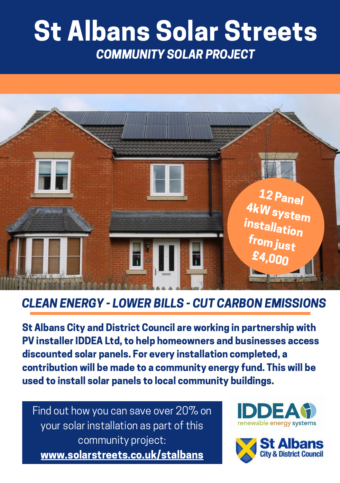# St Albans Solar Streets COMMUNITY SOLAR PROJECT



## CLEAN ENERGY - LOWER BILLS - CUT CARBON EMISSIONS

St Albans City and District Council are working in partnership with PV installer IDDEA Ltd, to help homeowners and businesses access discounted solar panels. For every installation completed, a contribution will be made to a community energy fund. This will be used to install solar panels to local community buildings.

Find out how you can save over 20% on your solar installation as part of this community project: www.solarstreets.co.uk/stalbans